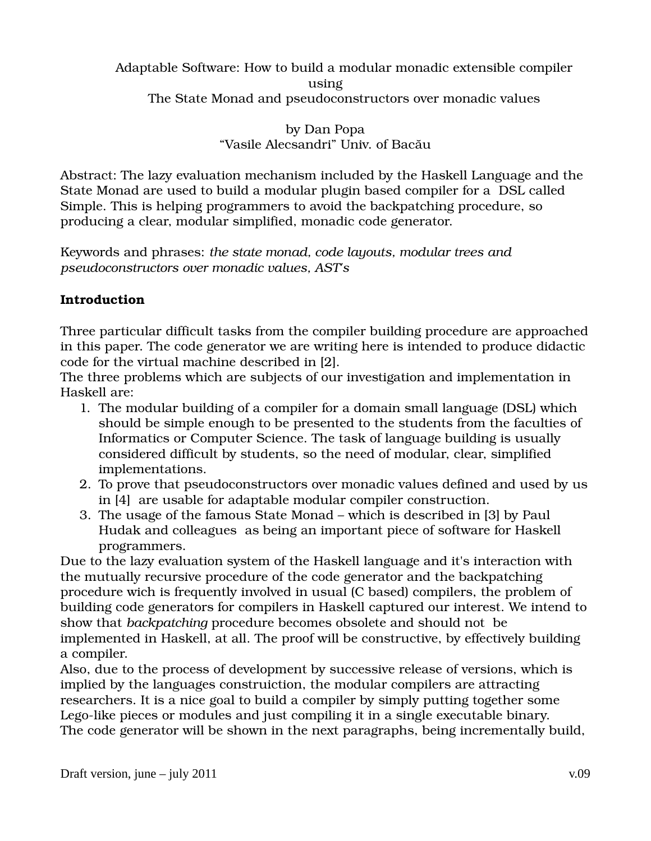Adaptable Software: How to build a modular monadic extensible compiler using The State Monad and pseudoconstructors over monadic values

> by Dan Popa "Vasile Alecsandri" Univ. of Bacău

Abstract: The lazy evaluation mechanism included by the Haskell Language and the State Monad are used to build a modular plugin based compiler for a DSL called Simple. This is helping programmers to avoid the backpatching procedure, so producing a clear, modular simplified, monadic code generator.

Keywords and phrases: *the state monad, code layouts, modular trees and pseudoconstructors over monadic values, AST's*

### **Introduction**

Three particular difficult tasks from the compiler building procedure are approached in this paper. The code generator we are writing here is intended to produce didactic code for the virtual machine described in [2].

The three problems which are subjects of our investigation and implementation in Haskell are:

- 1. The modular building of a compiler for a domain small language (DSL) which should be simple enough to be presented to the students from the faculties of Informatics or Computer Science. The task of language building is usually considered difficult by students, so the need of modular, clear, simplified implementations.
- 2. To prove that pseudoconstructors over monadic values defined and used by us in [4] are usable for adaptable modular compiler construction.
- 3. The usage of the famous State Monad which is described in [3] by Paul Hudak and colleagues as being an important piece of software for Haskell programmers.

Due to the lazy evaluation system of the Haskell language and it's interaction with the mutually recursive procedure of the code generator and the backpatching procedure wich is frequently involved in usual (C based) compilers, the problem of building code generators for compilers in Haskell captured our interest. We intend to show that *backpatching* procedure becomes obsolete and should not be implemented in Haskell, at all. The proof will be constructive, by effectively building a compiler.

Also, due to the process of development by successive release of versions, which is implied by the languages construiction, the modular compilers are attracting researchers. It is a nice goal to build a compiler by simply putting together some Lego-like pieces or modules and just compiling it in a single executable binary. The code generator will be shown in the next paragraphs, being incrementally build,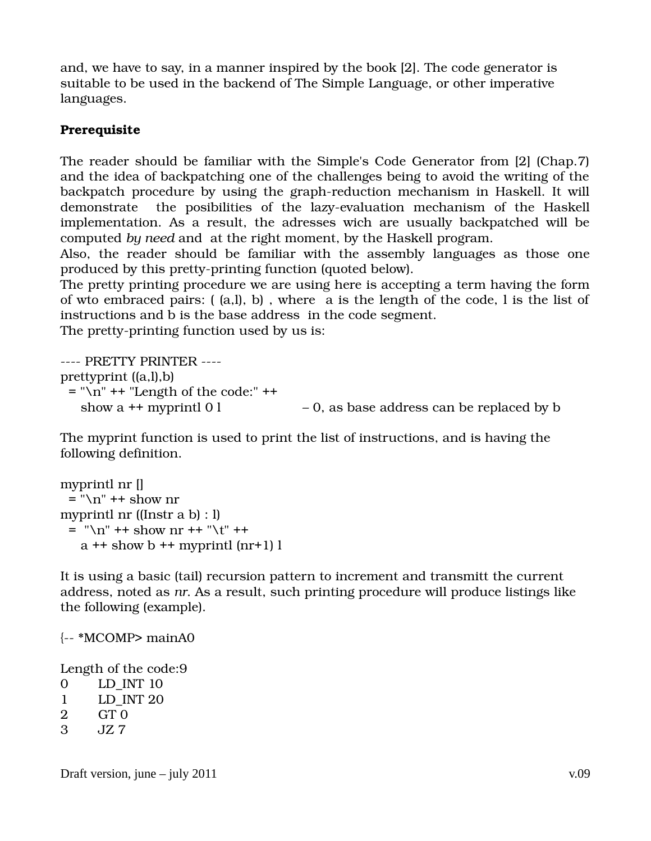and, we have to say, in a manner inspired by the book [2]. The code generator is suitable to be used in the backend of The Simple Language, or other imperative languages.

# **Prerequisite**

The reader should be familiar with the Simple's Code Generator from [2] (Chap.7) and the idea of backpatching one of the challenges being to avoid the writing of the backpatch procedure by using the graph-reduction mechanism in Haskell. It will demonstrate the posibilities of the lazy-evaluation mechanism of the Haskell implementation. As a result, the adresses wich are usually backpatched will be computed *by need* and at the right moment, by the Haskell program.

Also, the reader should be familiar with the assembly languages as those one produced by this pretty-printing function (quoted below).

The pretty printing procedure we are using here is accepting a term having the form of wto embraced pairs: ( (a,l), b) , where a is the length of the code, l is the list of instructions and b is the base address in the code segment.

The pretty-printing function used by us is:

---- PRETTY PRINTER ---prettyprint ((a,l),b)  $=$  "\n" ++ "Length of the code:" ++ show a  $+$  myprintl 0 l  $-$  0, as base address can be replaced by b

The myprint function is used to print the list of instructions, and is having the following definition.

```
myprintl nr [] 
 = "\n\pi" + show nr
myprintl nr ((Instr a b) : l) 
 = "\n" ++ show nr ++ "\t" ++
   a + show b + myprintl (nr+1) l
```
It is using a basic (tail) recursion pattern to increment and transmitt the current address, noted as *nr*. As a result, such printing procedure will produce listings like the following (example).

 $\left\{--\right.\right.$  \*MCOMP> mainA0

Length of the code:9

- 0 LD\_INT 10
- 1 LD\_INT 20
- 2 GT 0
- 3 JZ 7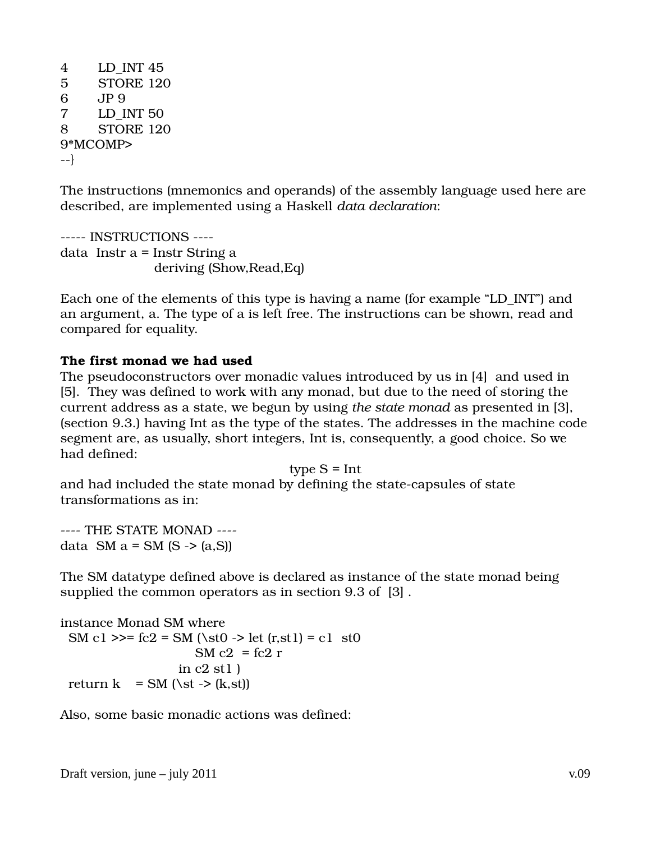```
4 LD_INT 45 
5 STORE 120 
6 JP 9 
7 LD_INT 50 
8 STORE 120 
9*MCOMP> 
\{-1\}
```
The instructions (mnemonics and operands) of the assembly language used here are described, are implemented using a Haskell *data declaration*:

```
----- INSTRUCTIONS ----
data  Instr a = Instr String a 
                                          deriving (Show,Read,Eq)
```
Each one of the elements of this type is having a name (for example "LD\_INT") and an argument, a. The type of a is left free. The instructions can be shown, read and compared for equality.

#### **The first monad we had used**

The pseudoconstructors over monadic values introduced by us in [4] and used in [5]. They was defined to work with any monad, but due to the need of storing the current address as a state, we begun by using *the state monad* as presented in [3], (section 9.3.) having Int as the type of the states. The addresses in the machine code segment are, as usually, short integers, Int is, consequently, a good choice. So we had defined:

type  $S = Int$ 

and had included the state monad by defining the state-capsules of state transformations as in:

---- THE STATE MONAD ---data  $SM$  a = SM (S -> (a,S))

The SM datatype defined above is declared as instance of the state monad being supplied the common operators as in section 9.3 of [3] .

```
instance Monad SM where 
 SM c1 \ge = fc2 = SM (\st0 -> let (r,st1) = c1 st0
                     SM c2 = fc2 rin c2 st1)return k = SM (\st -> (k,st))
```
Also, some basic monadic actions was defined: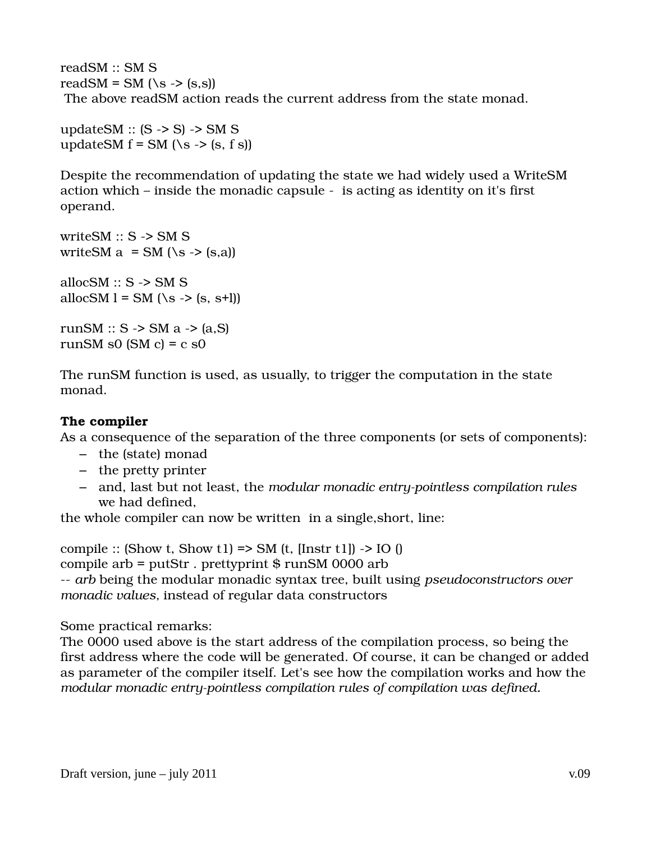readSM :: SM S readSM = SM  $(Ns \rightarrow (s,s))$ The above readSM action reads the current address from the state monad.

updateSM ::  $(S \rightarrow S) \rightarrow SM S$ updateSM  $f = SM$  (\s -> (s, f s))

Despite the recommendation of updating the state we had widely used a WriteSM action which – inside the monadic capsule is acting as identity on it's first operand.

write  $SM :: S \rightarrow SM S$ writeSM  $a = SM$  (\s -> (s,a)) allocSM  $:: S \rightarrow SM S$ allocSM l = SM (\s -> (s, s+l))

runSM ::  $S \rightarrow SM$  a  $\rightarrow$  (a,S) runSM s0 (SM  $c$ ) =  $c$  s0

The runSM function is used, as usually, to trigger the computation in the state monad.

#### **The compiler**

As a consequence of the separation of the three components (or sets of components):

- the (state) monad
- the pretty printer
- and, last but not least, the *modular monadic entrypointless compilation rules* we had defined,

the whole compiler can now be written in a single,short, line:

compile :: (Show t, Show t1) => SM (t, [Instr t1]) -> IO () compile arb =  $putStr$ . prettyprint  $$ runSM 0000$  arb *arb* being the modular monadic syntax tree, built using *pseudoconstructors over monadic values,* instead of regular data constructors

Some practical remarks:

The 0000 used above is the start address of the compilation process, so being the first address where the code will be generated. Of course, it can be changed or added as parameter of the compiler itself. Let's see how the compilation works and how the modular monadic entry-pointless compilation rules of compilation was defined.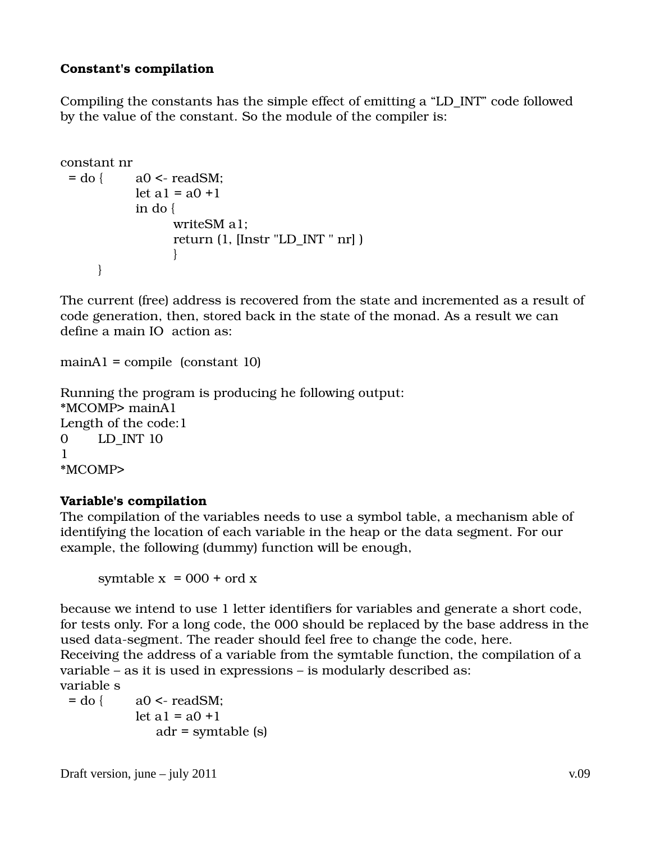### **Constant's compilation**

Compiling the constants has the simple effect of emitting a "LD\_INT" code followed by the value of the constant. So the module of the compiler is:

```
constant nr 
 = do { a0 \leq readSM:
                let a1 = a0 + 1          in do { 
                                          writeSM a1; 
                                  return (1, [Instr "LD_INT " nr] ) 
                 } 
        }
```
The current (free) address is recovered from the state and incremented as a result of code generation, then, stored back in the state of the monad. As a result we can define a main IO action as:

```
mainA1 = compile (constant 10)
```

```
Running the program is producing he following output:
*MCOMP> mainA1 
Length of the code:1 
0 LD_INT 10 
1
*MCOMP>
```
#### **Variable's compilation**

The compilation of the variables needs to use a symbol table, a mechanism able of identifying the location of each variable in the heap or the data segment. For our example, the following (dummy) function will be enough,

symtable  $x = 000 + \text{ord } x$ 

because we intend to use 1 letter identifiers for variables and generate a short code, for tests only. For a long code, the 000 should be replaced by the base address in the used data-segment. The reader should feel free to change the code, here. Receiving the address of a variable from the symtable function, the compilation of a variable – as it is used in expressions – is modularly described as: variable s

 $=$  do {  $a0 \leq$  readSM; let  $a1 = a0 + 1$ adr = symtable (s)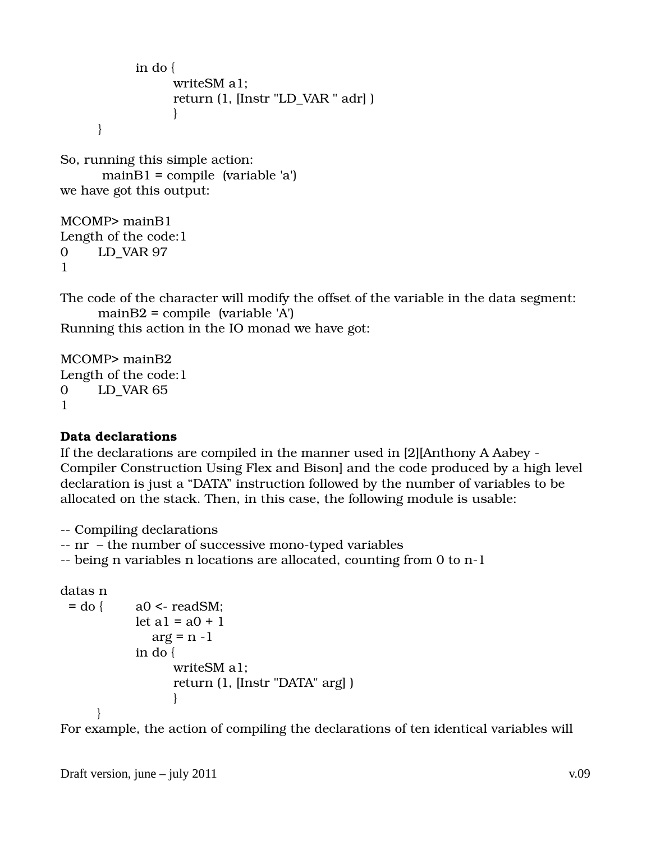```
          in do { 
                                                writeSM a1; 
                                        return (1, [Instr "LD_VAR " adr] ) 
                 }
                  }
```
So, running this simple action:  $mainB1 = compile (variable 'a')$ we have got this output:

MCOMP> mainB1 Length of the code:1 0 LD\_VAR 97 1

The code of the character will modify the offset of the variable in the data segment: mainB2 = compile  $\varphi$  (variable 'A')

Running this action in the IO monad we have got:

MCOMP> mainB2 Length of the code:1 0 LD\_VAR 65 1

#### **Data declarations**

If the declarations are compiled in the manner used in [2][Anthony A Aabey Compiler Construction Using Flex and Bison] and the code produced by a high level declaration is just a "DATA" instruction followed by the number of variables to be allocated on the stack. Then, in this case, the following module is usable:

Compiling declarations

 $-$  nr  $-$  the number of successive mono-typed variables

-- being n variables n locations are allocated, counting from 0 to n-1

```
datas n
```

```
= do { a0 \leq readSM;
                 let a1 = a0 + 1arg = n - 1          in do { 
                                            writeSM a1; 
                                    return (1, [Instr "DATA" arg] )   
                 } 
                 }
```
For example, the action of compiling the declarations of ten identical variables will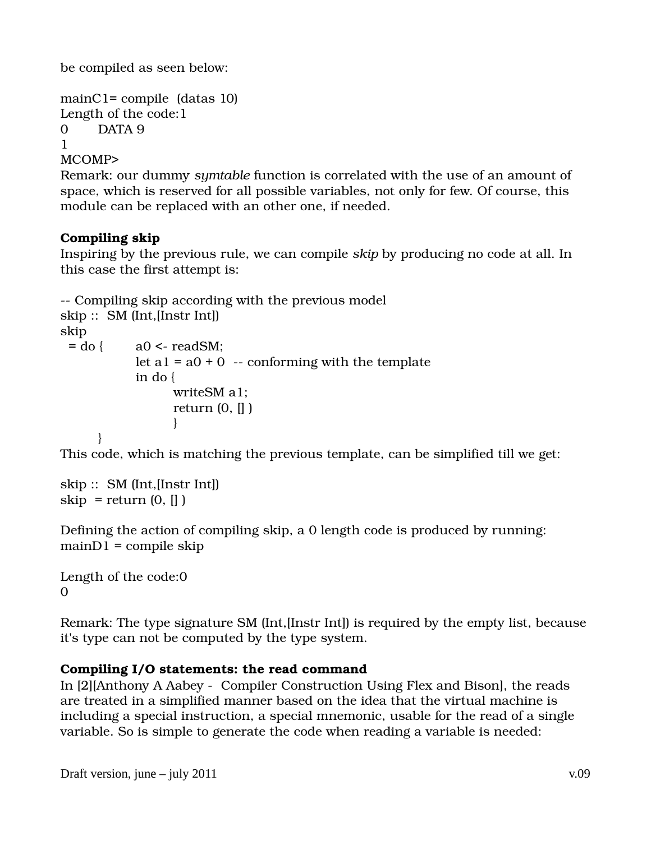be compiled as seen below:

```
mainC1= compile (data 10)Length of the code:1 
0 DATA 9 
1
MCOMP>
```
Remark: our dummy *symtable* function is correlated with the use of an amount of space, which is reserved for all possible variables, not only for few. Of course, this module can be replaced with an other one, if needed.

# **Compiling skip**

Inspiring by the previous rule, we can compile *skip* by producing no code at all. In this case the first attempt is:

```
 Compiling skip according with the previous model
skip ::  SM (Int,[Instr Int]) 
skip 
 = do { a0 \leq readSM;
              let a1 = a0 + 0 -- conforming with the template
                        in do { 
                                        writeSM a1; 
                                return (0, [] ) 
                 } 
               }
```
This code, which is matching the previous template, can be simplified till we get:

```
skip ::  SM (Int,[Instr Int]) 
skip = return (0, [])
```
Defining the action of compiling skip, a 0 length code is produced by running:  $mainD1 = compile skip$ 

Length of the code:0 0

Remark: The type signature SM (Int,[Instr Int]) is required by the empty list, because it's type can not be computed by the type system.

# **Compiling I/O statements: the read command**

In [2][Anthony A Aabey - Compiler Construction Using Flex and Bison], the reads are treated in a simplified manner based on the idea that the virtual machine is including a special instruction, a special mnemonic, usable for the read of a single variable. So is simple to generate the code when reading a variable is needed: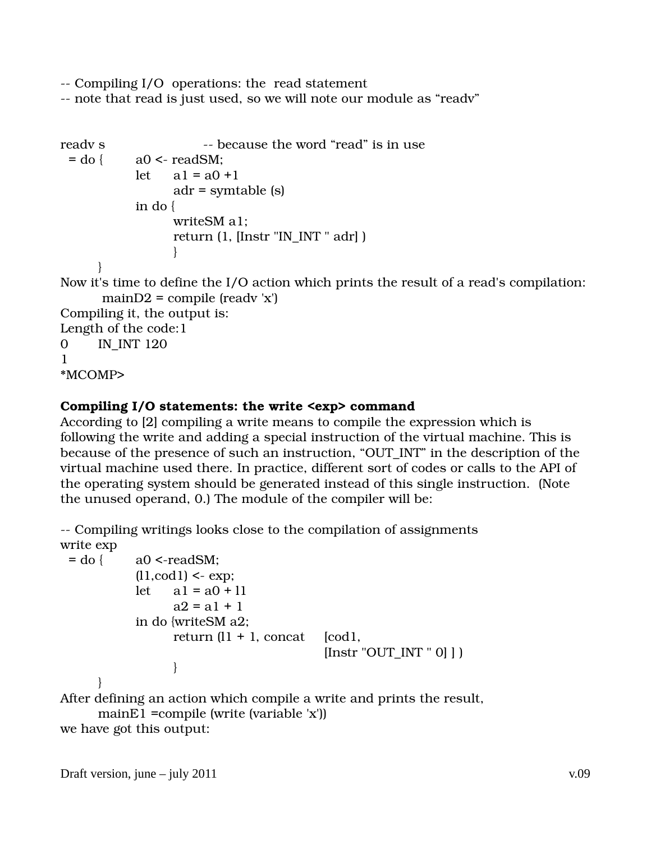Compiling I/O operations: the read statement

note that read is just used, so we will note our module as "readv"

```
readv s                         because the word "read" is in use 
 = do { a0 \leq readSM:
              let a1 = a0 + 1              adr = symtable (s)   
                        in do { 
                                       writeSM a1; 
                               return (1, [Instr "IN_INT " adr] ) 
                 } 
               } 
Now it's time to define the I/O action which prints the result of a read's compilation:
        mainD2 = compile (ready 'x')Compiling it, the output is:
Length of the code:1 
0 IN INT 120
1 
*MCOMP>
```
# **Compiling I/O statements: the write <exp> command**

According to [2] compiling a write means to compile the expression which is following the write and adding a special instruction of the virtual machine. This is because of the presence of such an instruction, "OUT\_INT" in the description of the virtual machine used there. In practice, different sort of codes or calls to the API of the operating system should be generated instead of this single instruction. (Note the unused operand, 0.) The module of the compiler will be:

 Compiling writings looks close to the compilation of assignments write exp

```
= do { a0 <-readSM;
              (11, \text{cod } 1) \leq \text{exp};let a1 = a0 + 11a2 = a1 + 1          in do {writeSM a2; 
                      return (11 + 1, \text{concat} \quad [cod1,[Instr "OUT INT " 0] ]                } 
                }
```
After defining an action which compile a write and prints the result, mainE1 =compile (write (variable 'x'))

```
we have got this output:
```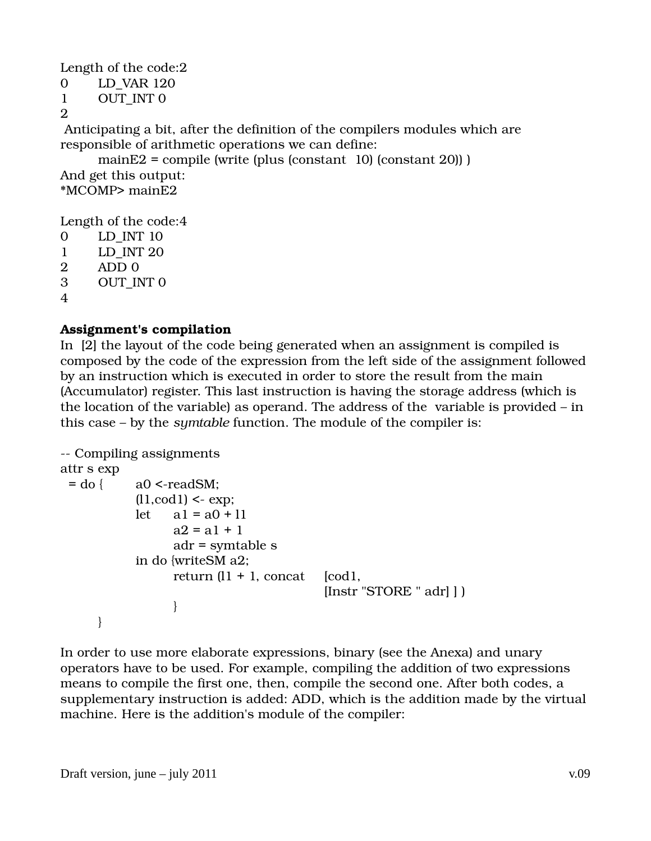Length of the code:2

```
0 LD_VAR 120 
1 OUT_INT 0 
\mathfrak{D}
```
 Anticipating a bit, after the definition of the compilers modules which are responsible of arithmetic operations we can define:

mainE2 = compile (write (plus (constant  $10$ ) (constant  $20$ ))) And get this output: \*MCOMP> mainE2

Length of the code:4

```
0 LD_INT 10 
1 LD_INT 20 
2 ADD 0 
3 OUT INT 0
4
```
# **Assignment's compilation**

In [2] the layout of the code being generated when an assignment is compiled is composed by the code of the expression from the left side of the assignment followed by an instruction which is executed in order to store the result from the main (Accumulator) register. This last instruction is having the storage address (which is the location of the variable) as operand. The address of the variable is provided – in this case – by the *symtable* function. The module of the compiler is:

```
 Compiling assignments
attr s exp 
 = do { a0 <-readSM;
                  (l1, \text{cod }l) \leq \text{exp};let \quad a1 = a0 + 11a2 = a1 + 1                adr = symtable s 
                           in do {writeSM a2; 
                           return (11 + 1, \text{concat} \quad [cod1,                                          [Instr "STORE " adr] ] )    
                }
                  }
```
In order to use more elaborate expressions, binary (see the Anexa) and unary operators have to be used. For example, compiling the addition of two expressions means to compile the first one, then, compile the second one. After both codes, a supplementary instruction is added: ADD, which is the addition made by the virtual machine. Here is the addition's module of the compiler: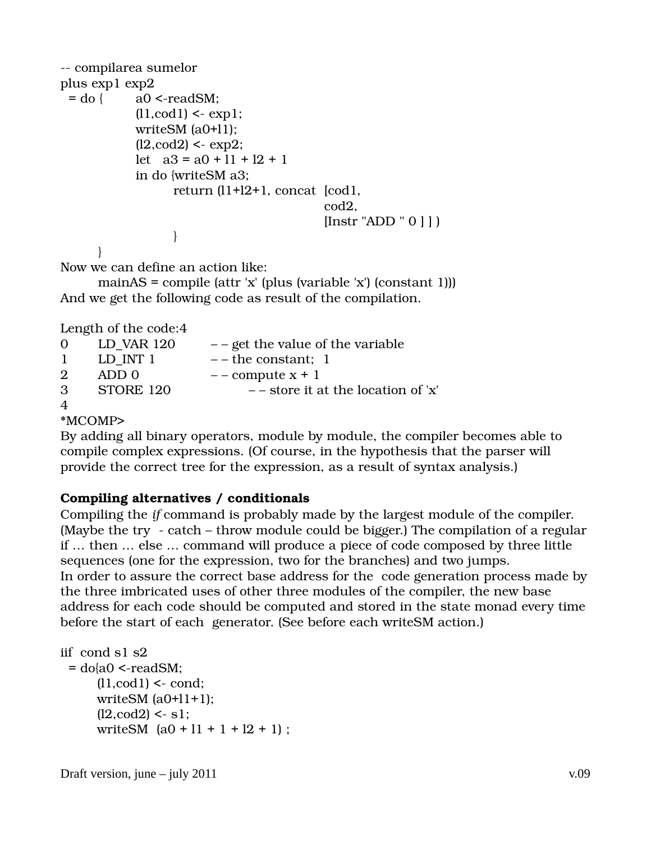```
-- compilarea sumelor
plus exp1 exp2 
 = do { a0 <-readSM;
               (11, \text{cod } 1) < \text{exp } 1;
                         writeSM (a0+l1); 
               (12, \text{cod2}) < \text{exp2};let a3 = a0 + 11 + 12 + 1          in do {writeSM a3; 
                                          return (l1+l2+1, concat  [cod1, 
cod2,
                                                                                                  [Instr "ADD " 0 ] ] ) 
                } 
                }
```
Now we can define an action like:

mainAS = compile (attr 'x' (plus (variable 'x') (constant 1))) And we get the following code as result of the compilation.

Length of the code:4

| $\Omega$                    | LD VAR 120 | $-$ - get the value of the variable   |
|-----------------------------|------------|---------------------------------------|
| $\mathbf{1}$                | LD INT 1   | $-$ – the constant; 1                 |
| $\mathcal{D}_{\mathcal{L}}$ | ADD 0      | $-$ - compute $x + 1$                 |
| $\mathcal{B}$               | STORE 120  | $-$ - store it at the location of 'x' |
| $\overline{A}$              |            |                                       |

#### \*MCOMP>

By adding all binary operators, module by module, the compiler becomes able to compile complex expressions. (Of course, in the hypothesis that the parser will provide the correct tree for the expression, as a result of syntax analysis.)

#### **Compiling alternatives / conditionals**

Compiling the *if* command is probably made by the largest module of the compiler. (Maybe the try - catch – throw module could be bigger.) The compilation of a regular if … then … else … command will produce a piece of code composed by three little sequences (one for the expression, two for the branches) and two jumps. In order to assure the correct base address for the code generation process made by the three imbricated uses of other three modules of the compiler, the new base address for each code should be computed and stored in the state monad every time before the start of each generator. (See before each writeSM action.)

```
iif  cond s1 s2  
 = do{a0 \le-readSM;
       (11, \text{cod1}) < \text{cond};writeSM (a0+11+1);
       (12, \text{cod2}) < s1;writeSM (a0 + 11 + 1 + 12 + 1);
```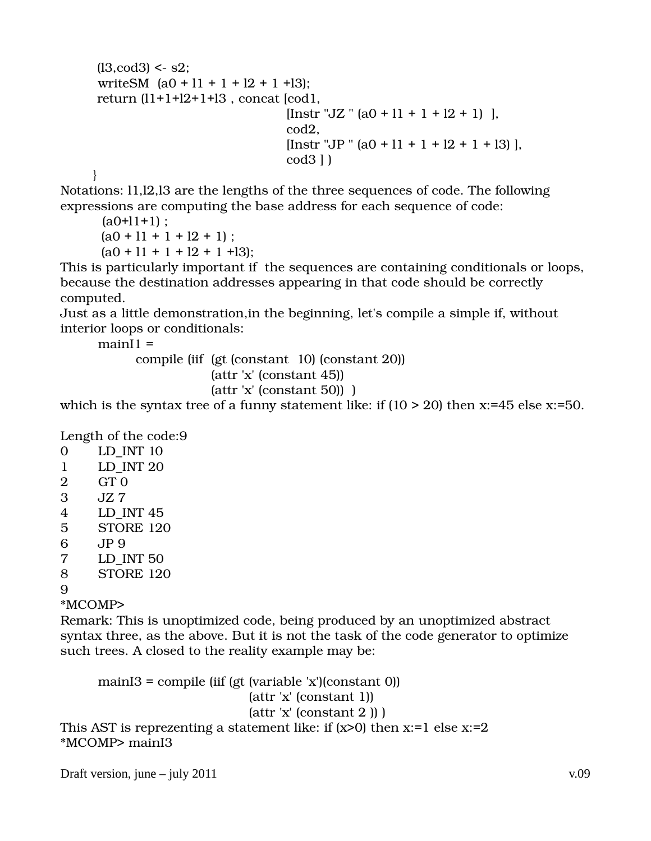```
(13, \text{cod3}) < s2;writeSM (a0 + 11 + 1 + 12 + 1 + 13);
         return (l1+1+l2+1+l3 , concat [cod1, 
                                             [Insert "JZ " (a0 + 11 + 1 + 12 + 1) ],                                         cod2, 
                                             [Instr "JP " (a0 + 11 + 1 + 12 + 1 + 13)],
                                             cod3 ] ) 
        }
```
Notations: l1,l2,l3 are the lengths of the three sequences of code. The following expressions are computing the base address for each sequence of code:

 $(a0+11+1)$  ;  $(a0 + 11 + 1 + 12 + 1);$  $(a0 + 11 + 1 + 12 + 1 + 13);$ 

This is particularly important if the sequences are containing conditionals or loops, because the destination addresses appearing in that code should be correctly computed.

Just as a little demonstration,in the beginning, let's compile a simple if, without interior loops or conditionals:

 $mainI1 =$ compile (iif (gt (constant 10) (constant 20)) (attr 'x' (constant 45)) (attr 'x' (constant 50)) )

which is the syntax tree of a funny statement like: if  $(10 > 20)$  then x:=45 else x:=50.

Length of the code:9

| 0           | LD INT 10        |  |  |
|-------------|------------------|--|--|
| $\mathbf 1$ | LD INT 20        |  |  |
| 2           | GT <sub>0</sub>  |  |  |
| 3           | JZ 7             |  |  |
| 4           | LD INT 45        |  |  |
| 5           | STORE 120        |  |  |
| 6           | JP 9             |  |  |
| 7           | LD INT 50        |  |  |
| 8           | <b>STORE 120</b> |  |  |
| q           |                  |  |  |
|             |                  |  |  |

\*MCOMP>

Remark: This is unoptimized code, being produced by an unoptimized abstract syntax three, as the above. But it is not the task of the code generator to optimize such trees. A closed to the reality example may be:

mainI3 = compile (iif (gt (variable  $x$ )(constant 0)) (attr 'x' (constant 1))  $(attr'x' (constant 2))$ This AST is reprezenting a statement like: if  $(x>0)$  then  $x:=1$  else  $x:=2$ \*MCOMP> mainI3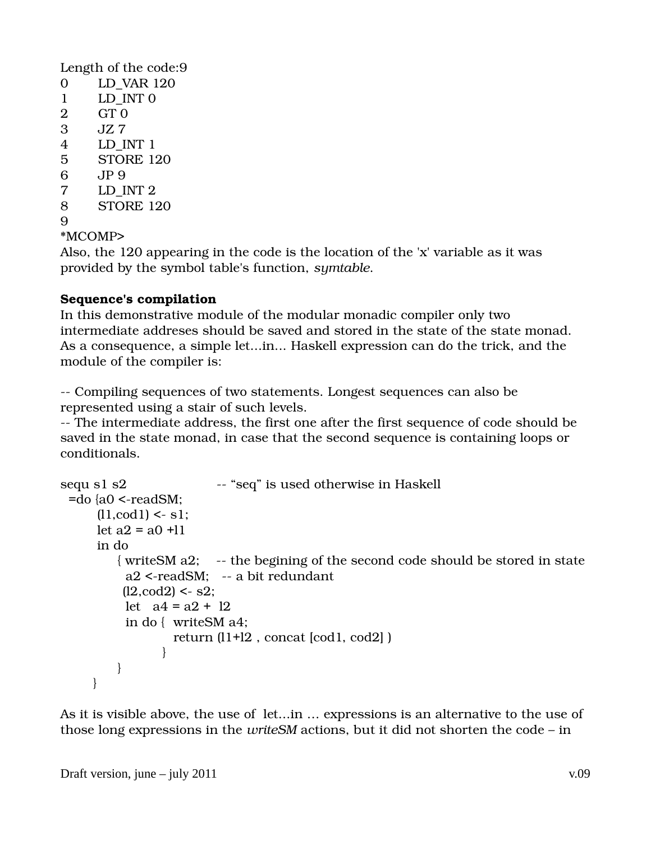Length of the code:9 0 LD\_VAR 120 1 LD INT 0 2 GT 0 3 JZ 7 4 LD\_INT 1 5 STORE 120 6 JP 9 7 LD\_INT 2 8 STORE 120 9 \*MCOMP>

Also, the 120 appearing in the code is the location of the 'x' variable as it was provided by the symbol table's function, *symtable*.

#### **Sequence's compilation**

In this demonstrative module of the modular monadic compiler only two intermediate addreses should be saved and stored in the state of the state monad. As a consequence, a simple let...in... Haskell expression can do the trick, and the module of the compiler is:

 Compiling sequences of two statements. Longest sequences can also be represented using a stair of such levels.

 The intermediate address, the first one after the first sequence of code should be saved in the state monad, in case that the second sequence is containing loops or conditionals.

```
sequ s1 s2                       "seq" is used otherwise in Haskell
 =do {a0 \le-readSM:
       (11, \text{cod1}) < s1;
       let a2 = a0 +11         in do  
            { write SM a2; -- the begining of the second code should be stored in state
             a2 <-readSM: -- a bit redundant
             (12, \text{cod2}) < -s2;
             let a4 = a2 + 12                in do { writeSM a4; 
                                              return (l1+l2 , concat [cod1, cod2] ) 
                         } 
                          } 
              }
```
As it is visible above, the use of let...in … expressions is an alternative to the use of those long expressions in the *writeSM* actions, but it did not shorten the code – in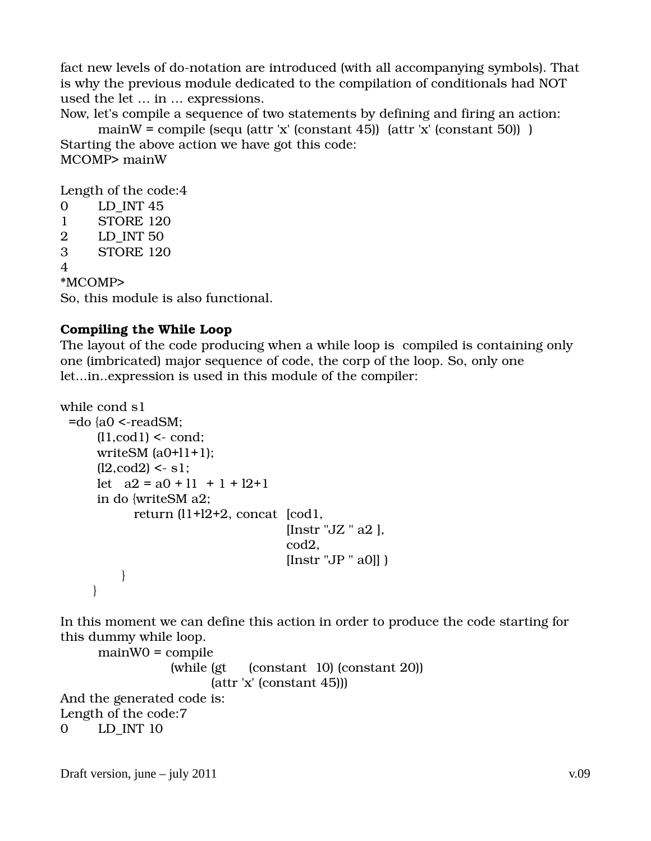fact new levels of do-notation are introduced (with all accompanying symbols). That is why the previous module dedicated to the compilation of conditionals had NOT used the let … in … expressions.

Now, let's compile a sequence of two statements by defining and firing an action:

mainW = compile (sequ (attr 'x' (constant 45))  $(attr 'x' (constant 50))$ Starting the above action we have got this code: MCOMP> mainW

Length of the code:4

```
0 LD INT 45
1 STORE 120 
2 LD_INT 50 
3 STORE 120 
4
```
\*MCOMP>

So, this module is also functional.

# **Compiling the While Loop**

The layout of the code producing when a while loop is compiled is containing only one (imbricated) major sequence of code, the corp of the loop. So, only one let...in..expression is used in this module of the compiler:

```
while cond s1 
  =do {a0 \le-readSM:
          (11, cod1) < \text{cond};writeSM (a0+11+1);
          (12, \text{cod2}) < s1;let a2 = a0 + 11 + 1 + 12 + 1         in do {writeSM a2; 
                                       return (l1+l2+2, concat  [cod1, 
                                                                 [Instr "JZ" a2],
                                                                                                             cod2, 
                                                                                                            [Instr "JP " a0]] ) 
                               } 
                 }
```
In this moment we can define this action in order to produce the code starting for this dummy while loop.

```
mainW0 = compile 
                                                    (while (gt  (constant  10) (constant 20)) 
                                                                       (attr 'x' (constant 45))) 
And the generated code is:
Length of the code:7 
0 LD_INT 10
```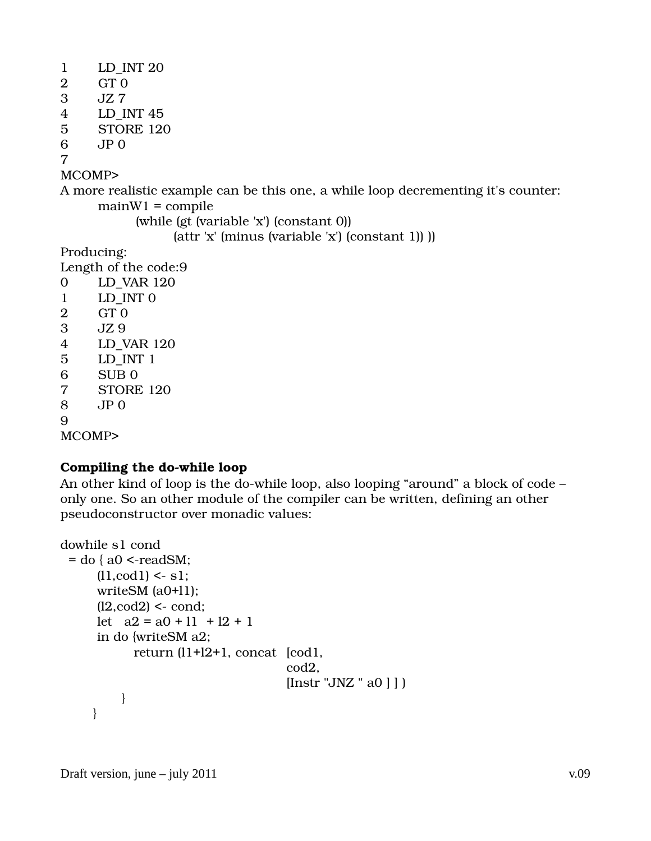A more realistic example can be this one, a while loop decrementing it's counter:  $mainW1 = compile$ 

(while (gt (variable 'x') (constant 0))

(attr 'x' (minus (variable 'x') (constant 1)) ))

Producing:

Length of the code:9

MCOMP>

# **Compiling the do-while loop**

An other kind of loop is the do-while loop, also looping "around" a block of code only one. So an other module of the compiler can be written, defining an other pseudoconstructor over monadic values:

```
dowhile s1 cond 
 = do \{ a0 \le-readSM;
         (11, cod1) < s1;         writeSM (a0+l1);  
         (12, \text{cod2}) < \text{cond};let a2 = a0 + 11 + 12 + 1         in do {writeSM a2; 
                                     return (l1+l2+1, concat  [cod1, 
                                                                                                        cod2, 
                                                            [Instr "JNZ " a0 ] ] )
                              } 
                }
```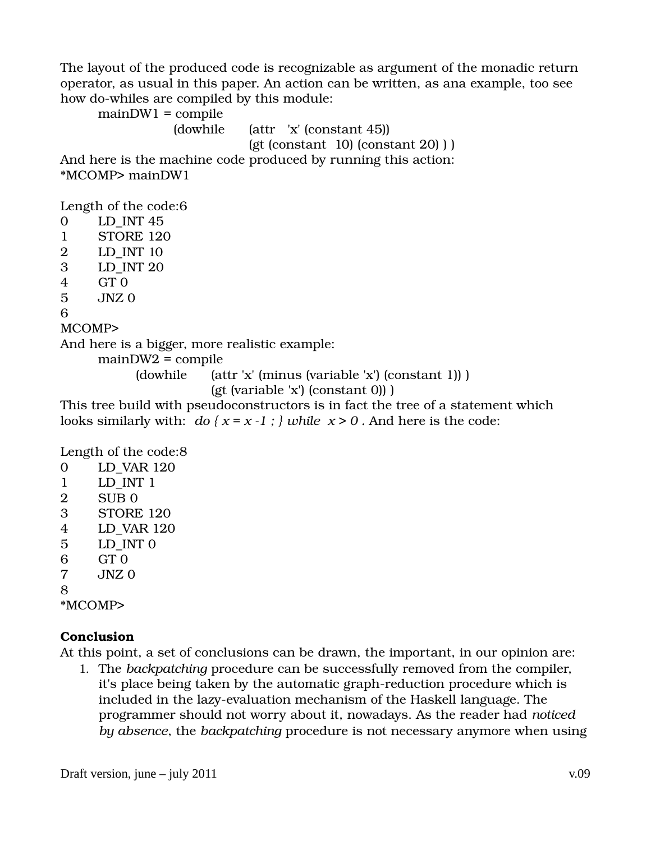The layout of the produced code is recognizable as argument of the monadic return operator, as usual in this paper. An action can be written, as ana example, too see how do-whiles are compiled by this module:

 $mainDW1 = compile$ (dowhile (attr 'x' (constant 45))  $(gt (constant 10) (constant 20) )$ And here is the machine code produced by running this action: \*MCOMP> mainDW1 Length of the code:6 0 LD\_INT 45 1 STORE 120 2 LD\_INT 10 3 LD\_INT 20 4 GT 0 5 JNZ 0 6 MCOMP> And here is a bigger, more realistic example: mainDW2 = compile (dowhile (attr 'x' (minus (variable 'x') (constant 1)) ) (gt (variable 'x') (constant 0)) ) This tree build with pseudoconstructors is in fact the tree of a statement which looks similarly with: *do*  $\{x = x - 1 : \}$  while  $x > 0$ . And here is the code: Length of the code:8 0 LD\_VAR 120 1 LD\_INT 1

- 2 SUB 0 3 STORE 120 4 LD\_VAR 120 5 LD\_INT 0 6 GT 0 7 JNZ 0
- 8

\*MCOMP>

# **Conclusion**

At this point, a set of conclusions can be drawn, the important, in our opinion are:

1. The *backpatching* procedure can be successfully removed from the compiler, it's place being taken by the automatic graph-reduction procedure which is included in the lazy-evaluation mechanism of the Haskell language. The programmer should not worry about it, nowadays. As the reader had *noticed by absence*, the *backpatching* procedure is not necessary anymore when using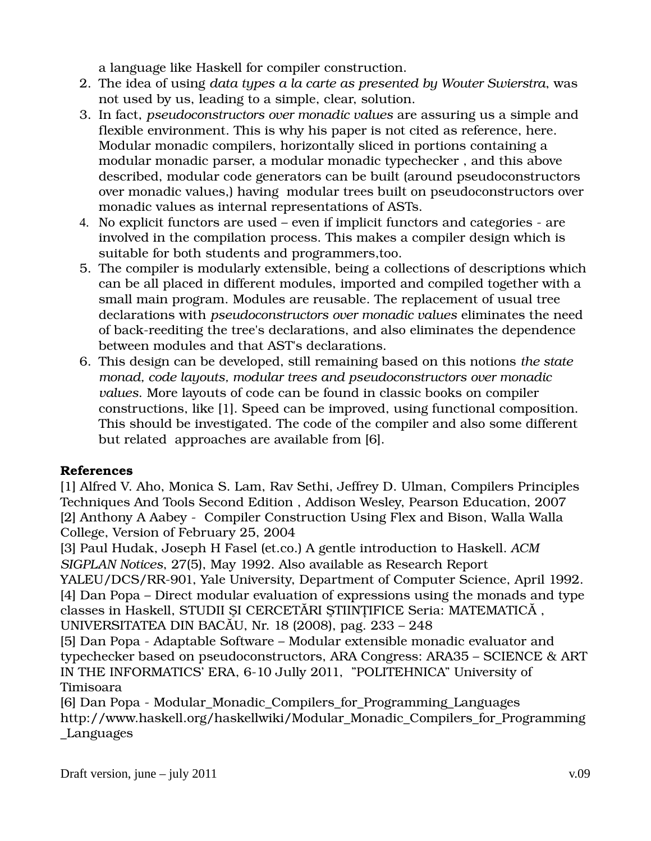a language like Haskell for compiler construction.

- 2. The idea of using *data types a la carte as presented by Wouter Swierstra*, was not used by us, leading to a simple, clear, solution.
- 3. In fact, *pseudoconstructors over monadic values* are assuring us a simple and flexible environment. This is why his paper is not cited as reference, here. Modular monadic compilers, horizontally sliced in portions containing a modular monadic parser, a modular monadic typechecker , and this above described, modular code generators can be built (around pseudoconstructors over monadic values,) having modular trees built on pseudoconstructors over monadic values as internal representations of ASTs.
- 4. No explicit functors are used even if implicit functors and categories are involved in the compilation process. This makes a compiler design which is suitable for both students and programmers,too.
- 5. The compiler is modularly extensible, being a collections of descriptions which can be all placed in different modules, imported and compiled together with a small main program. Modules are reusable. The replacement of usual tree declarations with *pseudoconstructors over monadic values* eliminates the need of back-reediting the tree's declarations, and also eliminates the dependence between modules and that AST's declarations.
- 6. This design can be developed, still remaining based on this notions *the state monad, code layouts, modular trees and pseudoconstructors over monadic values*. More layouts of code can be found in classic books on compiler constructions, like [1]. Speed can be improved, using functional composition. This should be investigated. The code of the compiler and also some different but related approaches are available from [6].

# **References**

[1] Alfred V. Aho, Monica S. Lam, Rav Sethi, Jeffrey D. Ulman, Compilers Principles Techniques And Tools Second Edition , Addison Wesley, Pearson Education, 2007 [2] Anthony A Aabey - Compiler Construction Using Flex and Bison, Walla Walla College, Version of February 25, 2004

[3] Paul Hudak, Joseph H Fasel (et.co.) A gentle introduction to Haskell. *ACM SIGPLAN Notices*, 27(5), May 1992. Also available as Research Report

YALEU/DCS/RR-901, Yale University, Department of Computer Science, April 1992. [4] Dan Popa – Direct modular evaluation of expressions using the monads and type classes in Haskell, STUDII ŞI CERCETĂRI ŞTIINŢIFICE Seria: MATEMATICĂ , UNIVERSITATEA DIN BACĂU, Nr. 18 (2008), pag. 233 – 248

[5] Dan Popa - Adaptable Software – Modular extensible monadic evaluator and typechecker based on pseudoconstructors, ARA Congress: ARA35 – SCIENCE & ART IN THE INFORMATICS' ERA, 6-10 Jully 2011, "POLITEHNICA" University of Timisoara

[6] Dan Popa - Modular Monadic Compilers for Programming Languages http://www.haskell.org/haskellwiki/Modular\_Monadic\_Compilers\_for\_Programming \_Languages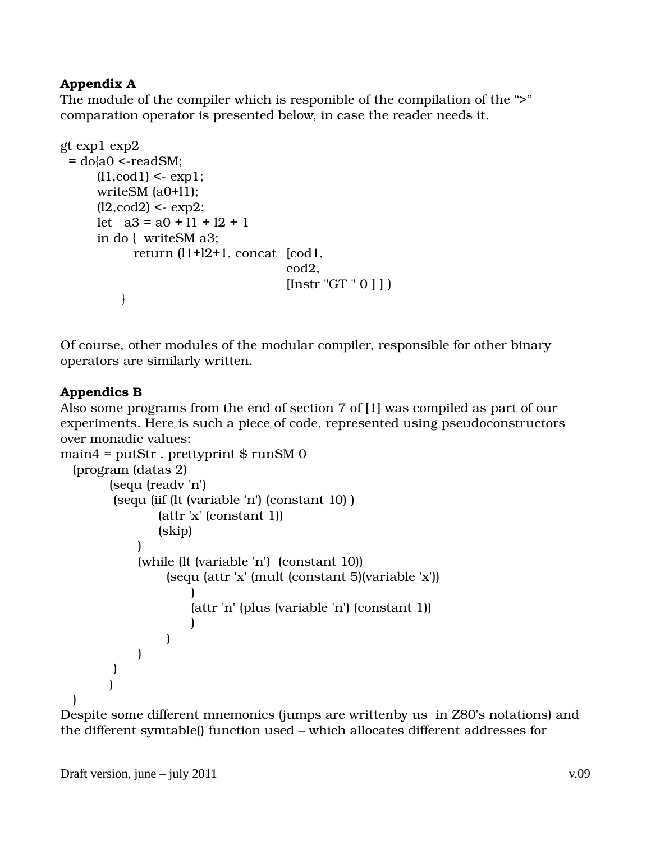### **Appendix A**

The module of the compiler which is responible of the compilation of the ">" comparation operator is presented below, in case the reader needs it.

```
gt exp1 exp2 
  = do[a0 \le-readSM;
          (11, \text{cod1}) < \text{exp1};writeSM (a0+11);
          (12, \text{cod2}) < \text{exp2};let a3 = a0 + 11 + 12 + 1         in do {  writeSM a3;
                                      return (l1+l2+1, concat  [cod1,
                                                                                                             cod2,
                                                                                                            [Instr "GT " 0 ] ] )
               }
```
Of course, other modules of the modular compiler, responsible for other binary operators are similarly written.

### **Appendics B**

Also some programs from the end of section 7 of [1] was compiled as part of our experiments. Here is such a piece of code, represented using pseudoconstructors over monadic values:

```
main4 = putStr. prettyprint \frac{1}{2} runSM 0
      (program (datas 2) 
                         (sequ (readv 'n')
                           (sequ (iif (lt (variable 'n') (constant 10) )
                                                   (attr 'x' (constant 1))
                                                   (skip) 
\overline{\phantom{a}}                   (while (lt (variable 'n')  (constant 10))
                                                       (sequ (attr 'x' (mult (constant 5)(variable 'x')) 
                                )    
                                                                    (attr 'n' (plus (variable 'n') (constant 1))
                                ) 
                          )  
                   )   
\overline{\phantom{a}}\overline{\phantom{a}}   )
```
Despite some different mnemonics (jumps are writtenby us in Z80's notations) and the different symtable() function used – which allocates different addresses for